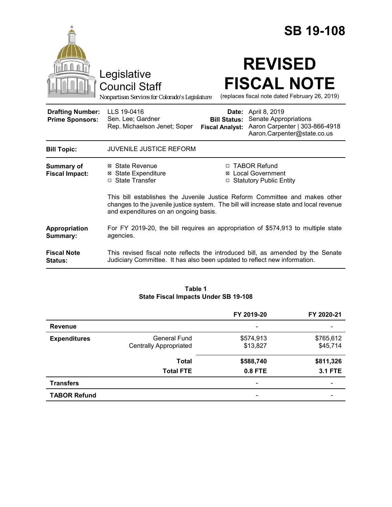|                                                   | Legislative<br>Council Staff<br>Nonpartisan Services for Colorado's Legislature                                                                              |                                                                                                                                                                                                                                                                  | <b>SB 19-108</b><br><b>REVISED</b><br><b>FISCAL NOTE</b><br>(replaces fiscal note dated February 26, 2019)           |  |
|---------------------------------------------------|--------------------------------------------------------------------------------------------------------------------------------------------------------------|------------------------------------------------------------------------------------------------------------------------------------------------------------------------------------------------------------------------------------------------------------------|----------------------------------------------------------------------------------------------------------------------|--|
| <b>Drafting Number:</b><br><b>Prime Sponsors:</b> | LLS 19-0416<br>Sen. Lee; Gardner<br>Rep. Michaelson Jenet; Soper                                                                                             | <b>Bill Status:</b><br><b>Fiscal Analyst:</b>                                                                                                                                                                                                                    | <b>Date:</b> April 8, 2019<br>Senate Appropriations<br>Aaron Carpenter   303-866-4918<br>Aaron.Carpenter@state.co.us |  |
| <b>Bill Topic:</b>                                | <b>JUVENILE JUSTICE REFORM</b>                                                                                                                               |                                                                                                                                                                                                                                                                  |                                                                                                                      |  |
| <b>Summary of</b><br><b>Fiscal Impact:</b>        | ⊠ State Revenue<br><b>⊠</b> State Expenditure<br>□ State Transfer<br>and expenditures on an ongoing basis.                                                   | □ TABOR Refund<br><b>⊠</b> Local Government<br><b>Statutory Public Entity</b><br>$\Box$<br>This bill establishes the Juvenile Justice Reform Committee and makes other<br>changes to the juvenile justice system. The bill will increase state and local revenue |                                                                                                                      |  |
| Appropriation<br>Summary:                         | For FY 2019-20, the bill requires an appropriation of \$574,913 to multiple state<br>agencies.                                                               |                                                                                                                                                                                                                                                                  |                                                                                                                      |  |
| <b>Fiscal Note</b><br><b>Status:</b>              | This revised fiscal note reflects the introduced bill, as amended by the Senate<br>Judiciary Committee. It has also been updated to reflect new information. |                                                                                                                                                                                                                                                                  |                                                                                                                      |  |

#### **Table 1 State Fiscal Impacts Under SB 19-108**

|                     |                                               | FY 2019-20                   | FY 2020-21            |
|---------------------|-----------------------------------------------|------------------------------|-----------------------|
| <b>Revenue</b>      |                                               | $\overline{\phantom{0}}$     |                       |
| <b>Expenditures</b> | General Fund<br><b>Centrally Appropriated</b> | \$574,913<br>\$13,827        | \$765,612<br>\$45,714 |
|                     | <b>Total</b>                                  | \$588,740                    | \$811,326             |
|                     | <b>Total FTE</b>                              | 0.8 FTE                      | <b>3.1 FTE</b>        |
| <b>Transfers</b>    |                                               | $\qquad \qquad \blacksquare$ | -                     |
| <b>TABOR Refund</b> |                                               | -                            |                       |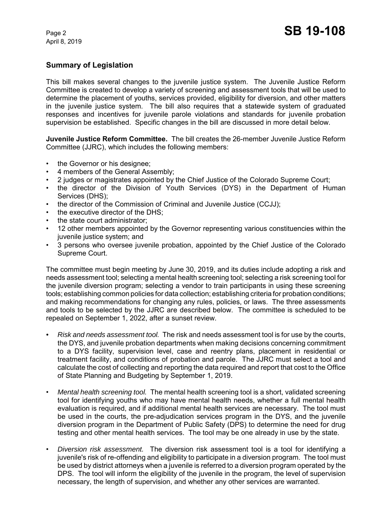# **Summary of Legislation**

This bill makes several changes to the juvenile justice system. The Juvenile Justice Reform Committee is created to develop a variety of screening and assessment tools that will be used to determine the placement of youths, services provided, eligibility for diversion, and other matters in the juvenile justice system. The bill also requires that a statewide system of graduated responses and incentives for juvenile parole violations and standards for juvenile probation supervision be established. Specific changes in the bill are discussed in more detail below.

**Juvenile Justice Reform Committee.** The bill creates the 26-member Juvenile Justice Reform Committee (JJRC), which includes the following members:

- the Governor or his designee:
- 4 members of the General Assembly;
- 2 judges or magistrates appointed by the Chief Justice of the Colorado Supreme Court;
- the director of the Division of Youth Services (DYS) in the Department of Human Services (DHS);
- the director of the Commission of Criminal and Juvenile Justice (CCJJ);
- the executive director of the DHS;
- the state court administrator:
- 12 other members appointed by the Governor representing various constituencies within the juvenile justice system; and
- 3 persons who oversee juvenile probation, appointed by the Chief Justice of the Colorado Supreme Court.

The committee must begin meeting by June 30, 2019, and its duties include adopting a risk and needs assessment tool; selecting a mental health screening tool; selecting a risk screening tool for the juvenile diversion program; selecting a vendor to train participants in using these screening tools; establishing common policies for data collection; establishing criteria for probation conditions; and making recommendations for changing any rules, policies, or laws. The three assessments and tools to be selected by the JJRC are described below. The committee is scheduled to be repealed on September 1, 2022, after a sunset review.

- *• Risk and needs assessment tool.*The risk and needs assessment tool is for use by the courts, the DYS, and juvenile probation departments when making decisions concerning commitment to a DYS facility, supervision level, case and reentry plans, placement in residential or treatment facility, and conditions of probation and parole. The JJRC must select a tool and calculate the cost of collecting and reporting the data required and report that cost to the Office of State Planning and Budgeting by September 1, 2019.
- *Mental health screening tool.*The mental health screening tool is a short, validated screening tool for identifying youths who may have mental health needs, whether a full mental health evaluation is required, and if additional mental health services are necessary. The tool must be used in the courts, the pre-adjudication services program in the DYS, and the juvenile diversion program in the Department of Public Safety (DPS) to determine the need for drug testing and other mental health services. The tool may be one already in use by the state.
- *Diversion risk assessment.* The diversion risk assessment tool is a tool for identifying a juvenile's risk of re-offending and eligibility to participate in a diversion program. The tool must be used by district attorneys when a juvenile is referred to a diversion program operated by the DPS. The tool will inform the eligibility of the juvenile in the program, the level of supervision necessary, the length of supervision, and whether any other services are warranted.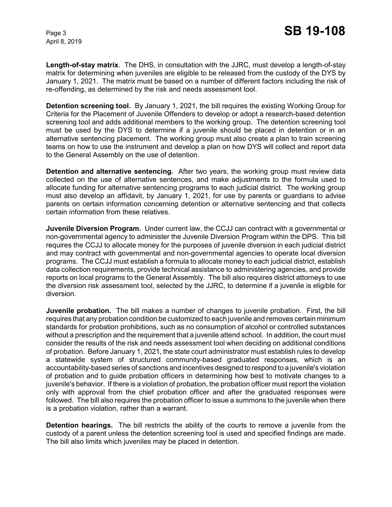**Length-of-stay matrix**. The DHS, in consultation with the JJRC, must develop a length-of-stay matrix for determining when juveniles are eligible to be released from the custody of the DYS by January 1, 2021. The matrix must be based on a number of different factors including the risk of re-offending, as determined by the risk and needs assessment tool.

**Detention screening tool.** By January 1, 2021, the bill requires the existing Working Group for Criteria for the Placement of Juvenile Offenders to develop or adopt a research-based detention screening tool and adds additional members to the working group. The detention screening tool must be used by the DYS to determine if a juvenile should be placed in detention or in an alternative sentencing placement. The working group must also create a plan to train screening teams on how to use the instrument and develop a plan on how DYS will collect and report data to the General Assembly on the use of detention.

**Detention and alternative sentencing.** After two years, the working group must review data collected on the use of alternative sentences, and make adjustments to the formula used to allocate funding for alternative sentencing programs to each judicial district. The working group must also develop an affidavit, by January 1, 2021, for use by parents or guardians to advise parents on certain information concerning detention or alternative sentencing and that collects certain information from these relatives.

**Juvenile Diversion Program.** Under current law, the CCJJ can contract with a governmental or non-governmental agency to administer the Juvenile Diversion Program within the DPS. This bill requires the CCJJ to allocate money for the purposes of juvenile diversion in each judicial district and may contract with governmental and non-governmental agencies to operate local diversion programs. The CCJJ must establish a formula to allocate money to each judicial district, establish data collection requirements, provide technical assistance to administering agencies, and provide reports on local programs to the General Assembly. The bill also requires district attorneys to use the diversion risk assessment tool, selected by the JJRC, to determine if a juvenile is eligible for diversion.

**Juvenile probation.** The bill makes a number of changes to juvenile probation. First, the bill requires that any probation condition be customized to each juvenile and removes certain minimum standards for probation prohibitions, such as no consumption of alcohol or controlled substances without a prescription and the requirement that a juvenile attend school. In addition, the court must consider the results of the risk and needs assessment tool when deciding on additional conditions of probation. Before January 1, 2021, the state court administrator must establish rules to develop a statewide system of structured community-based graduated responses, which is an accountability-based series of sanctions and incentives designed to respond to a juvenile's violation of probation and to guide probation officers in determining how best to motivate changes to a juvenile's behavior. If there is a violation of probation, the probation officer must report the violation only with approval from the chief probation officer and after the graduated responses were followed. The bill also requires the probation officer to issue a summons to the juvenile when there is a probation violation, rather than a warrant.

**Detention hearings.** The bill restricts the ability of the courts to remove a juvenile from the custody of a parent unless the detention screening tool is used and specified findings are made. The bill also limits which juveniles may be placed in detention.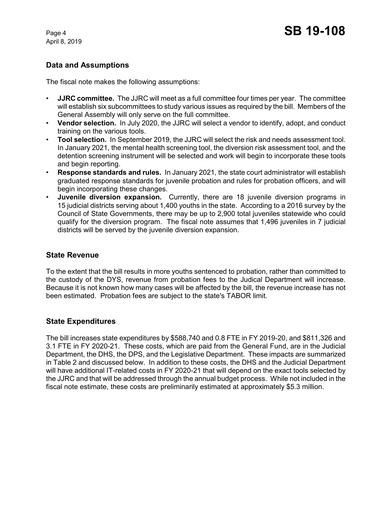# **Data and Assumptions**

The fiscal note makes the following assumptions:

- **JJRC committee.**The JJRC will meet as a full committee four times per year. The committee will establish six subcommittees to study various issues as required by the bill. Members of the General Assembly will only serve on the full committee.
- **Vendor selection.**In July 2020, the JJRC will select a vendor to identify, adopt, and conduct training on the various tools.
- **Tool selection.**In September 2019, the JJRC will select the risk and needs assessment tool. In January 2021, the mental health screening tool, the diversion risk assessment tool, and the detention screening instrument will be selected and work will begin to incorporate these tools and begin reporting.
- **Response standards and rules.**In January 2021, the state court administrator will establish graduated response standards for juvenile probation and rules for probation officers, and will begin incorporating these changes.
- **Juvenile diversion expansion.** Currently, there are 18 juvenile diversion programs in 15 judicial districts serving about 1,400 youths in the state. According to a 2016 survey by the Council of State Governments, there may be up to 2,900 total juveniles statewide who could qualify for the diversion program. The fiscal note assumes that 1,496 juveniles in 7 judicial districts will be served by the juvenile diversion expansion.

#### **State Revenue**

To the extent that the bill results in more youths sentenced to probation, rather than committed to the custody of the DYS, revenue from probation fees to the Judical Department will increase. Because it is not known how many cases will be affected by the bill, the revenue increase has not been estimated. Probation fees are subject to the state's TABOR limit.

## **State Expenditures**

The bill increases state expenditures by \$588,740 and 0.8 FTE in FY 2019-20, and \$811,326 and 3.1 FTE in FY 2020-21. These costs, which are paid from the General Fund, are in the Judicial Department, the DHS, the DPS, and the Legislative Department. These impacts are summarized in Table 2 and discussed below. In addition to these costs, the DHS and the Judicial Department will have additional IT-related costs in FY 2020-21 that will depend on the exact tools selected by the JJRC and that will be addressed through the annual budget process. While not included in the fiscal note estimate, these costs are preliminarily estimated at approximately \$5.3 million.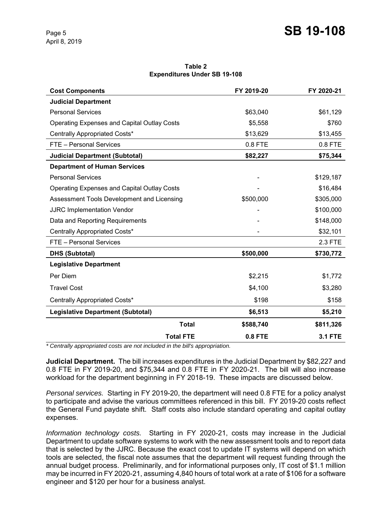**Table 2 Expenditures Under SB 19-108**

| <b>Cost Components</b>                             | FY 2019-20     | FY 2020-21     |
|----------------------------------------------------|----------------|----------------|
| <b>Judicial Department</b>                         |                |                |
| <b>Personal Services</b>                           | \$63,040       | \$61,129       |
| <b>Operating Expenses and Capital Outlay Costs</b> | \$5,558        | \$760          |
| Centrally Appropriated Costs*                      | \$13,629       | \$13,455       |
| FTE - Personal Services                            | 0.8 FTE        | 0.8 FTE        |
| <b>Judicial Department (Subtotal)</b>              | \$82,227       | \$75,344       |
| <b>Department of Human Services</b>                |                |                |
| <b>Personal Services</b>                           |                | \$129,187      |
| <b>Operating Expenses and Capital Outlay Costs</b> |                | \$16,484       |
| Assessment Tools Development and Licensing         | \$500,000      | \$305,000      |
| <b>JJRC Implementation Vendor</b>                  |                | \$100,000      |
| Data and Reporting Requirements                    |                | \$148,000      |
| Centrally Appropriated Costs*                      |                | \$32,101       |
| FTE - Personal Services                            |                | 2.3 FTE        |
| <b>DHS (Subtotal)</b>                              | \$500,000      | \$730,772      |
| <b>Legislative Department</b>                      |                |                |
| Per Diem                                           | \$2,215        | \$1,772        |
| <b>Travel Cost</b>                                 | \$4,100        | \$3,280        |
| Centrally Appropriated Costs*                      | \$198          | \$158          |
| <b>Legislative Department (Subtotal)</b>           | \$6,513        | \$5,210        |
| <b>Total</b>                                       | \$588,740      | \$811,326      |
| <b>Total FTE</b>                                   | <b>0.8 FTE</b> | <b>3.1 FTE</b> |

*\* Centrally appropriated costs are not included in the bill's appropriation.*

**Judicial Department.** The bill increases expenditures in the Judicial Department by \$82,227 and 0.8 FTE in FY 2019-20, and \$75,344 and 0.8 FTE in FY 2020-21. The bill will also increase workload for the department beginning in FY 2018-19. These impacts are discussed below.

*Personal services.* Starting in FY 2019-20, the department will need 0.8 FTE for a policy analyst to participate and advise the various committees referenced in this bill. FY 2019-20 costs reflect the General Fund paydate shift. Staff costs also include standard operating and capital outlay expenses.

*Information technology costs.* Starting in FY 2020-21, costs may increase in the Judicial Department to update software systems to work with the new assessment tools and to report data that is selected by the JJRC. Because the exact cost to update IT systems will depend on which tools are selected, the fiscal note assumes that the department will request funding through the annual budget process. Preliminarily, and for informational purposes only, IT cost of \$1.1 million may be incurred in FY 2020-21, assuming 4,840 hours of total work at a rate of \$106 for a software engineer and \$120 per hour for a business analyst.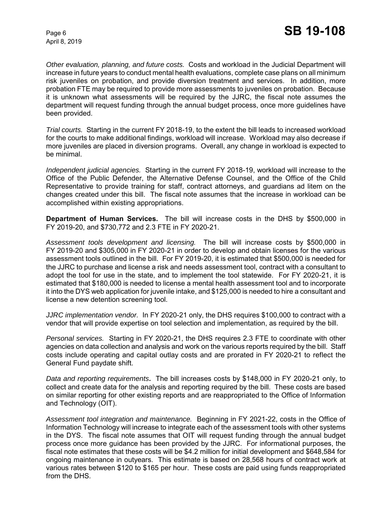*Other evaluation, planning, and future costs.* Costs and workload in the Judicial Department will increase in future years to conduct mental health evaluations, complete case plans on all minimum risk juveniles on probation, and provide diversion treatment and services. In addition, more probation FTE may be required to provide more assessments to juveniles on probation. Because it is unknown what assessments will be required by the JJRC, the fiscal note assumes the department will request funding through the annual budget process, once more guidelines have been provided.

*Trial courts.* Starting in the current FY 2018-19, to the extent the bill leads to increased workload for the courts to make additional findings, workload will increase. Workload may also decrease if more juveniles are placed in diversion programs. Overall, any change in workload is expected to be minimal.

*Independent judicial agencies.* Starting in the current FY 2018-19, workload will increase to the Office of the Public Defender, the Alternative Defense Counsel, and the Office of the Child Representative to provide training for staff, contract attorneys, and guardians ad litem on the changes created under this bill. The fiscal note assumes that the increase in workload can be accomplished within existing appropriations.

**Department of Human Services.** The bill will increase costs in the DHS by \$500,000 in FY 2019-20, and \$730,772 and 2.3 FTE in FY 2020-21.

*Assessment tools development and licensing.* The bill will increase costs by \$500,000 in FY 2019-20 and \$305,000 in FY 2020-21 in order to develop and obtain licenses for the various assessment tools outlined in the bill. For FY 2019-20, it is estimated that \$500,000 is needed for the JJRC to purchase and license a risk and needs assessment tool, contract with a consultant to adopt the tool for use in the state, and to implement the tool statewide. For FY 2020-21, it is estimated that \$180,000 is needed to license a mental health assessment tool and to incorporate it into the DYS web application for juvenile intake, and \$125,000 is needed to hire a consultant and license a new detention screening tool.

*JJRC implementation vendor.* In FY 2020-21 only, the DHS requires \$100,000 to contract with a vendor that will provide expertise on tool selection and implementation, as required by the bill.

*Personal services.* Starting in FY 2020-21, the DHS requires 2.3 FTE to coordinate with other agencies on data collection and analysis and work on the various reports required by the bill. Staff costs include operating and capital outlay costs and are prorated in FY 2020-21 to reflect the General Fund paydate shift.

*Data and reporting requirements***.** The bill increases costs by \$148,000 in FY 2020-21 only, to collect and create data for the analysis and reporting required by the bill.These costs are based on similar reporting for other existing reports and are reappropriated to the Office of Information and Technology (OIT).

*Assessment tool integration and maintenance.* Beginning in FY 2021-22, costs in the Office of Information Technology will increase to integrate each of the assessment tools with other systems in the DYS. The fiscal note assumes that OIT will request funding through the annual budget process once more guidance has been provided by the JJRC. For informational purposes, the fiscal note estimates that these costs will be \$4.2 million for initial development and \$648,584 for ongoing maintenance in outyears. This estimate is based on 28,568 hours of contract work at various rates between \$120 to \$165 per hour. These costs are paid using funds reappropriated from the DHS.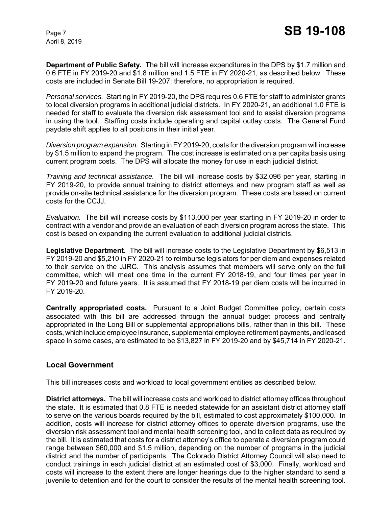**Department of Public Safety.** The bill will increase expenditures in the DPS by \$1.7 million and 0.6 FTE in FY 2019-20 and \$1.8 million and 1.5 FTE in FY 2020-21, as described below. These costs are included in Senate Bill 19-207; therefore, no appropriation is required.

*Personal services.* Starting in FY 2019-20, the DPS requires 0.6 FTE for staff to administer grants to local diversion programs in additional judicial districts. In FY 2020-21, an additional 1.0 FTE is needed for staff to evaluate the diversion risk assessment tool and to assist diversion programs in using the tool. Staffing costs include operating and capital outlay costs. The General Fund paydate shift applies to all positions in their initial year.

*Diversion program expansion.* Starting in FY 2019-20, costs for the diversion program will increase by \$1.5 million to expand the program. The cost increase is estimated on a per capita basis using current program costs. The DPS will allocate the money for use in each judicial district.

*Training and technical assistance.* The bill will increase costs by \$32,096 per year, starting in FY 2019-20, to provide annual training to district attorneys and new program staff as well as provide on-site technical assistance for the diversion program. These costs are based on current costs for the CCJJ.

*Evaluation.* The bill will increase costs by \$113,000 per year starting in FY 2019-20 in order to contract with a vendor and provide an evaluation of each diversion program across the state. This cost is based on expanding the current evaluation to additional judicial districts.

**Legislative Department.** The bill will increase costs to the Legislative Department by \$6,513 in FY 2019-20 and \$5,210 in FY 2020-21 to reimburse legislators for per diem and expenses related to their service on the JJRC. This analysis assumes that members will serve only on the full committee, which will meet one time in the current FY 2018-19, and four times per year in FY 2019-20 and future years. It is assumed that FY 2018-19 per diem costs will be incurred in FY 2019-20.

**Centrally appropriated costs.** Pursuant to a Joint Budget Committee policy, certain costs associated with this bill are addressed through the annual budget process and centrally appropriated in the Long Bill or supplemental appropriations bills, rather than in this bill. These costs, which include employee insurance, supplemental employee retirement payments, and leased space in some cases, are estimated to be \$13,827 in FY 2019-20 and by \$45,714 in FY 2020-21.

#### **Local Government**

This bill increases costs and workload to local government entities as described below.

**District attorneys.** The bill will increase costs and workload to district attorney offices throughout the state. It is estimated that 0.8 FTE is needed statewide for an assistant district attorney staff to serve on the various boards required by the bill, estimated to cost approximately \$100,000. In addition, costs will increase for district attorney offices to operate diversion programs, use the diversion risk assessment tool and mental health screening tool, and to collect data as required by the bill. It is estimated that costs for a district attorney's office to operate a diversion program could range between \$60,000 and \$1.5 million, depending on the number of programs in the judicial district and the number of participants. The Colorado District Attorney Council will also need to conduct trainings in each judicial district at an estimated cost of \$3,000. Finally, workload and costs will increase to the extent there are longer hearings due to the higher standard to send a juvenile to detention and for the court to consider the results of the mental health screening tool.